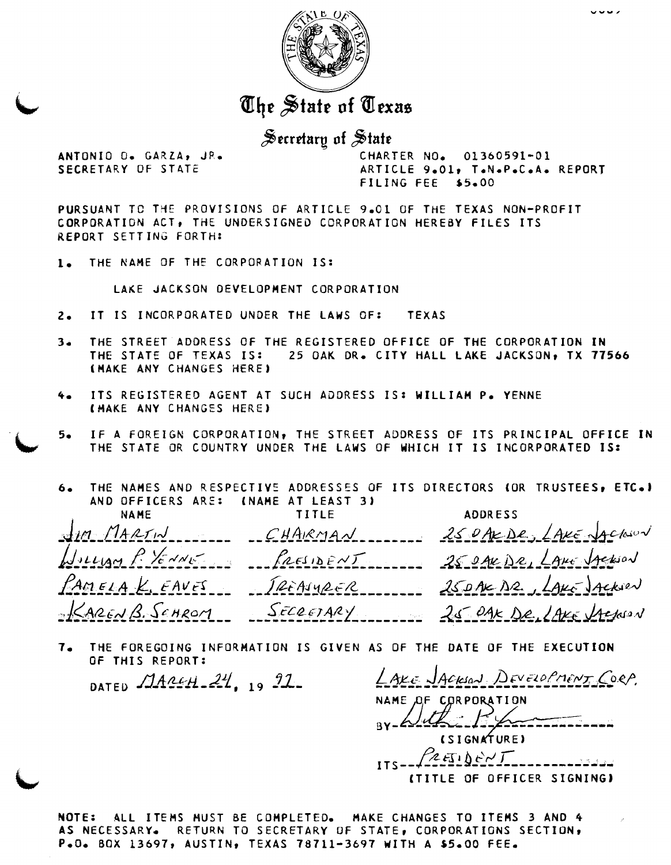

The State of Texas

 $\frac{1}{20}$ ecretary of State

ANTONIO O. GARZA, JR. CHARTER NO. 01360591-01<br>SECRETARY OF STATE ARTICLE 9.01, T.N.P.C.A. ARTICLE 9.01, T.N.P.C.A. REPORT FILING FEE \$5.00

PURSUANT TC TYE PROVISIONS OF ARTICLE 9oCl **OF** THE TEXAS NQN-PROFIT CORPORATIDN ACT, THE UNDERSIGNED CCRPORATIGN HEREBY FILES ITS REPORT SETTING FORTH:

**1,** THE **NAME OF** THE CORPORATION IS:

LAKE JACKSON OEVELOPHENT CORPORATION

- to IT IS INCORPORATED UNDER THE CAWS OF: TEXAS
- **3.** THE STREET ADDRESS OF THE REGISTERED OFFICE OF THE CORPORATION IN THE STATE OF TEXAS IS: 25 OAK DR. CITY HALL LAKE JACKSON, TX 77566 [HAKE ANY CHANCES HERE)
- **4-** ITS REGISTERED AGENT AT SUCH ASDRESS IS: WILLIAH Po YENNE (HAKE ANY CHANGES HERE)
- 5. IF A FOREIGN CORPORATION, THE STREET ADDRESS OF ITS PRINCIPAL OFFICE IN THE STATE OR COUNTRY UNDER THE CAWS **OF** WHICH IT IS INCORPORATED IS:
- 6. THE NAMES AND RESPECTIVE ADDRESSES OF ITS DIRECTORS (OR TRUSTEES, ETC.) AND OFFICERS ARE: (NAME AT LEAST **3)**

**I**  NAME<br>J*LA MARTIN* ------- CHARMAN ------- 250AEDESS<br>Jollyan P. Xerrice, ReesideNT -- 250AEDE, LAHE JAEROON NAME TITLE ADDRESS  $f$ *acsidENT* 250AKDR, LANG Jackson  $P$ AMELA K, EAVES TREASURER 25 DAK DR. LAKE JACKSON KARENB. SCHROM SECRETARY 25 DAK DR. LAKE LACKEN

**70** THE FOREGOING INFORMATION IS GIVEN AS OF THE DATE OF THE EXECUTION OF THIS REPORT:

DATED MARCH 24, 19 91- *LAXE JACKSON DEVELOPMENT CORP*. (SIGNATURE)  $ZETDENL$ (TITLE OF OFFICER SIGNING)

NOTE: ALL ITEMS HUST BE COMPLETED. MAKE CHANGES TO ITEMS 3 AND 4 AS NECESSARY. RETURN TO SECRETARY OF STATE, CORPORATIONS SECTION, Po00 BOX 13697, AUSTIN, TEXAS 78711-3697 YITH A **S5\*00** FEE.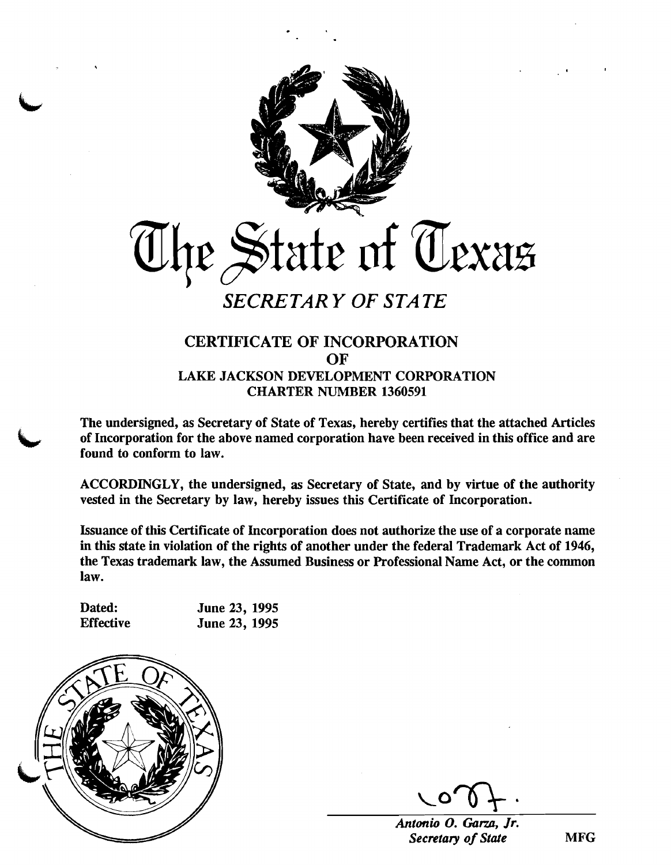

# CERTIFICATE OF INCORPORATION OF LAKE JACKSON DEVELOPMENT CORPORATION CHARTER NUMBER 1360591

The undersigned, as Secretary of State of Texas, hereby certifies that the attached Articles of Incorporation for the above named corporation have been received in this office and are found to conform to law. found to conform to law.

> ACCORDINGLY, the undersigned, as Secretary of State, and by virtue of the authority vested in the Secretary by law, hereby issues this Certificate of Incorporation.

> Issuance of this Certificate of Incorporation does not authorize the use of a corporate name in this state in violation of the rights of another under the federal Trademark Act of 1946, the Texas trademark law, the Assumed Business or Professional Name Act, or the common law.

Dated: June 23, 1995<br>Effective June 23, 1995 June 23, 1995



 $\overline{r}$ 

*Antonio 0. Gam, Jr. Secretary of State* MFG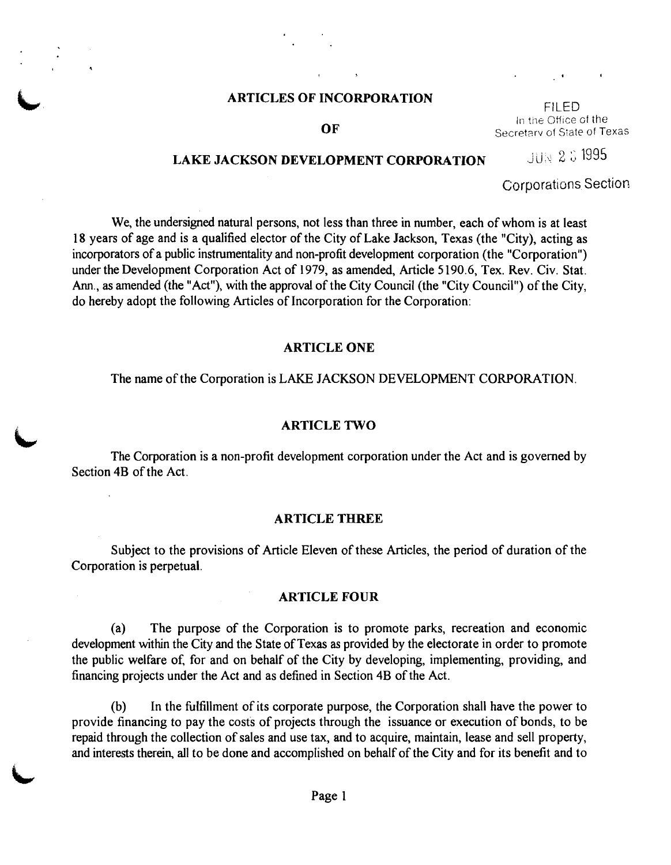# **ARTICLES OF INCORPORATION**

#### OF

In the Office of the Secretary of State of Texas

# **LAKE JACKSON DEVELOPMENT CORPORATION** JUN 2 3 1995

Corporations Section

We, the undersigned natural persons, not less than three in number, each of whom is at least 18 years of age and is a qualified elector of the City of Lake Jackson, Texas (the "City), acting as incorporators of a public instrumentality and non-profit development corporation (the "Corporation") under the Development Corporation Act of 1979, as amended, Article 5 190.6, Tex. Rev. Civ. Stat. Ann., as amended (the "Act"), with the approval of the City Council (the "City Council") of the City, do hereby adopt the following Articles of Incorporation for the Corporation:

#### **ARTICLE ONE**

The name of the Corporation is LAKE JACKSON DEVELOPMENT CORPORATION.

**ARTICLE TWO**<br>
The Corporation is a non-profit development corporation under the Act and is governed by Section 4B of the Act.

#### **ARTICLE THREE**

Subject to the provisions of Article Eleven of these Articles, the period of duration of the Corporation is perpetual.

#### **ARTICLE FOUR**

(a) The purpose of the Corporation is to promote parks, recreation and economic development within the City and the State of Texas **as** provided by the electorate in order to promote the public welfare of, for and on behalf of the City by developing, implementing, providing, and financing projects under the Act and as defined in Section 4B of the Act.

(b) In the fulfillment of its corporate purpose, the Corporation shall have the power to provide financing to pay the costs of projects through the issuance or execution of bonds, to be repaid through the collection of sales and use tax, and to acquire, maintain, lease and sell property, and interests therein, all to be done and accomplished on behalf of the City and for its benefit and to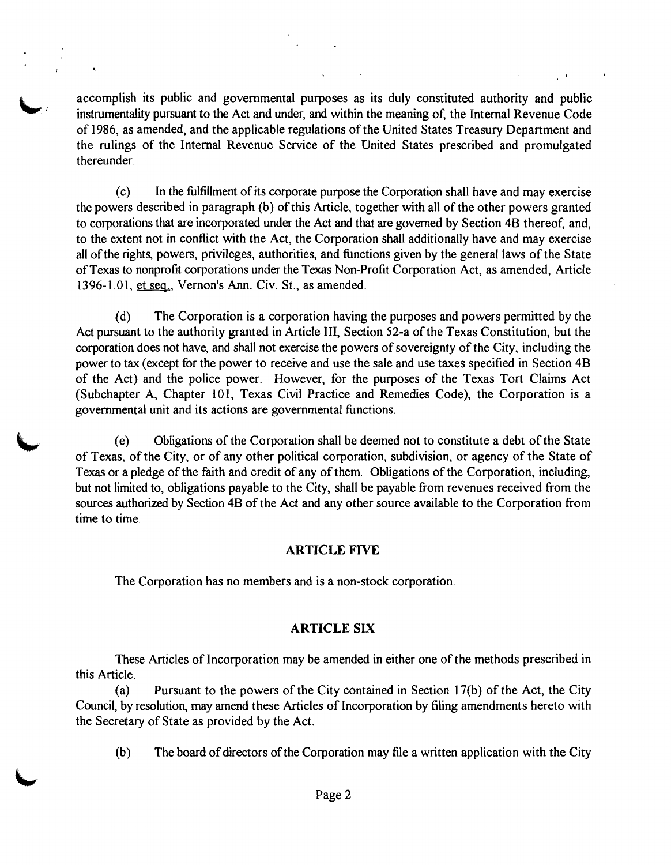accomplish its public and governmental purposes as its duly constituted authority and public instrumentality pursuant to the Act and under, and within the meaning of, the Internal Revenue Code of 1986, as amended, and the applicable regulations of the United States Treasury Department and the rulings of the Internal Revenue Service of the United States prescribed and promulgated thereunder.

(c) In the fulfillment of its corporate purpose the Corporation shall have and may exercise the powers described in paragraph (b) of this Article, together with all of the other powers granted to corporations that are incorporated under the Act and that are governed by Section **4B** thereof, and, to the extent not in conflict with the Act, the Corporation shall additionally have and may exercise all ofthe rights, powers, privileges, authorities, and functions given by the general laws of the State of Texas to nonprofit corporations under the Texas Non-Profit Corporation Act, as amended, Article 1396- 1.01, et sea., Vernon's Ann. Civ. St., as amended.

(d) The Corporation is a corporation having the purposes and powers permitted by the Act pursuant to the authority granted in Article 111, Section 52-a of the Texas Constitution, but the corporation does not have, and shall not exercise the powers of sovereignty of the City, including the power to tax (except for the power to receive and use the sale and use taxes specified in Section **4B**  of the Act) and the police power. However, for the purposes of the Texas Tort Claims Act (Subchapter A, Chapter 101, Texas Civil Practice and Remedies Code), the Corporation is a governmental unit and its actions are governmental functions.

(e) Obligations of the Corporation shall be deemed not to constitute a debt of the State of Texas, of the City, or of any other political corporation, subdivision, or agency of the State of Texas or a pledge of the faith and credit of any of them. Obligations of the Corporation, including, but not limited to, obligations payable to the City, shall be payable from revenues received from the sources authorized by Section **4B** of the Act and any other source available to the Corporation from time to time.

#### **ARTICLE FIVE**

The Corporation has no members and is a non-stock corporation.

#### **ARTICLE SIX**

These Articles of Incorporation may be amended in either one of the methods prescribed in this Article.

(a) Pursuant to the powers of the City contained in Section 17(b) of the Act, the City Council, by resolution, may amend these Articles of Incorporation by filing amendments hereto with the Secretary of State as provided by the Act.

 $(b)$  The board of directors of the Corporation may file a written application with the City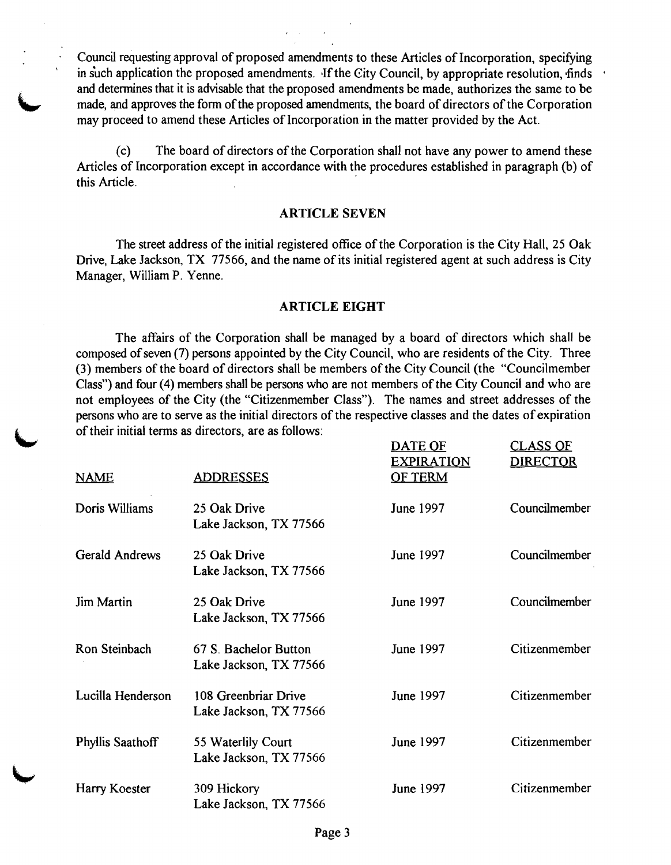Council requesting approval of proposed amendments to these Articles of Incorporation, specifying in such application the proposed amendments. If the City Council, by appropriate resolution, finds  $\cdot$ and determines that it is advisable that the proposed amendments be made, authorizes the same to be made, and approves the form of the proposed amendments, the board of directors of the Corporation may proceed to amend these Articles of Incorporation in the matter provided by the Act.

(c) The board of directors of the Corporation shall not have any power to amend these Articles of Incorporation except in accordance with the procedures established in paragraph (b) of this Article.

#### **ARTICLE SEVEN**

The street address of the initial registered office of the Corporation is the City Hall, 25 Oak Drive, Lake Jackson, TX 77566, and the name of its initial registered agent at such address is City Manager, William P. Yenne.

#### **ARTICLE EIGHT**

The affairs of the Corporation shall be managed by a board of directors which shall be composed of seven (7) persons appointed by the City Council, who are residents of the City. Three (3) members of the board of directors shall be members of the City Council (the "Councilmember Class") and four (4) members shall be persons who are not members of the City Council and who are not employees of the City (the "Citizenmember Class"). The names and street addresses of the persons who are to serve as the initial directors of the respective classes and the dates of expiration of their initial terms as directors, are as follows:

| <b>NAME</b>             | <b>ADDRESSES</b>                                | DATE OF<br><u>EXPIRATION</u><br><b>OF TERM</b> | <u>CLASS OF</u><br><b>DIRECTOR</b> |
|-------------------------|-------------------------------------------------|------------------------------------------------|------------------------------------|
| Doris Williams          | 25 Oak Drive<br>Lake Jackson, TX 77566          | June 1997                                      | Councilmember                      |
| <b>Gerald Andrews</b>   | 25 Oak Drive<br>Lake Jackson, TX 77566          | June 1997                                      | Councilmember                      |
| <b>Jim Martin</b>       | 25 Oak Drive<br>Lake Jackson, TX 77566          | June 1997                                      | Councilmember                      |
| Ron Steinbach           | 67 S. Bachelor Button<br>Lake Jackson, TX 77566 | <b>June 1997</b>                               | Citizenmember                      |
| Lucilla Henderson       | 108 Greenbriar Drive<br>Lake Jackson, TX 77566  | June 1997                                      | Citizenmember                      |
| <b>Phyllis Saathoff</b> | 55 Waterlily Court<br>Lake Jackson, TX 77566    | June 1997                                      | Citizenmember                      |
| Harry Koester           | 309 Hickory<br>Lake Jackson, TX 77566           | June 1997                                      | Citizenmember                      |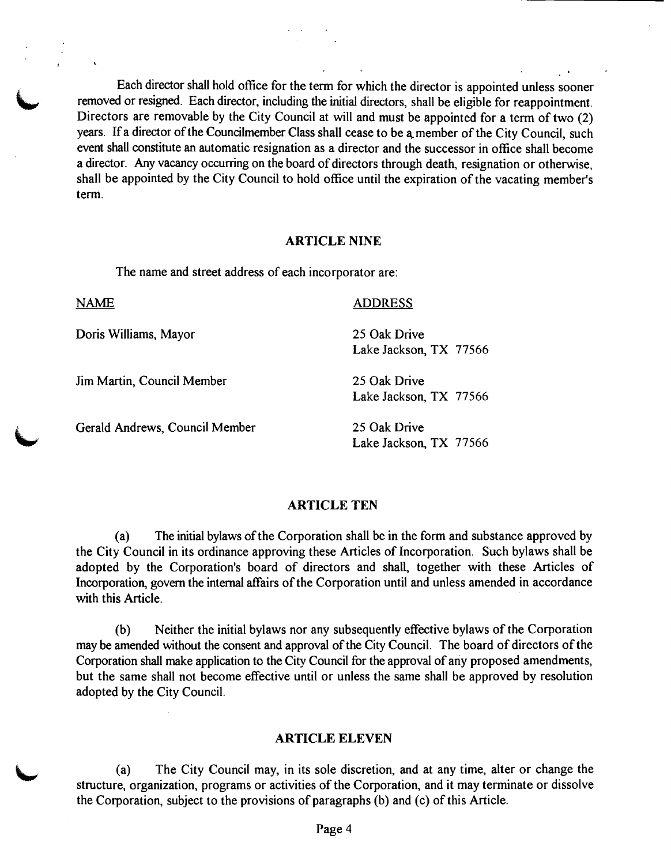Each director shall hold office for the term for which the director is appointed unless sooner removed or resigned. Each director, including the initial directors, shall be eligible for reappointment. Directors are removab Directors are removable by the City Council at will and must be appointed for a term of two (2) vears. If a director of the Councilmember Class shall cease to be a member of the City Council, such event shall constitute an automatic resignation as a director and the successor in office shall become a director. Any vacancy occurring on the board of directors through death, resignation or otherwise, shall be appointed by the City Council to hold office until the expiration of the vacating member's term.

#### **ARTICLE NINE**

The name and street address of each incorporator are:

NAME ADDRESS

I

Doris Williams, Mayor

Jim Martin, Council Member

Gerald Andrews. Council Member

Lake Jackson, TX 77566

Lake Jackson, TX 77566

25 Oak Drive

25 Oak Drive

25 Oak Drive Lake Jackson, TX 77566

#### **ARTICLE TEN**

(a) The initial bylaws of the Corporation shall be in the form and substance approved by the City Council in its ordinance approving these Articles of Incorporation. Such bylaws shall be adopted by the Corporation's board of directors and shall, together with these Articles of Incorporation, govern the internal affairs of the Corporation until and unless amended in accordance with this Article.

(b) Neither the initial bylaws nor any subsequently effective bylaws of the Corporation may be amended without the consent and approval of the City Council. The board of directors of the Corporation shall make application to the City Council for the approval of any proposed amendments, but the same shall not become effective until or unless the same shall be approved by resolution adopted by the City Council.

#### **ARTICLE ELEVEN**

(a) The City Council may, in its sole discretion, and at any time, alter or change the structure, organization, programs or activities of the Corporation, and it may terminate or dissolve the Corporation, subject to the provisions of paragraphs (b) and (c) of this Article.

Page 4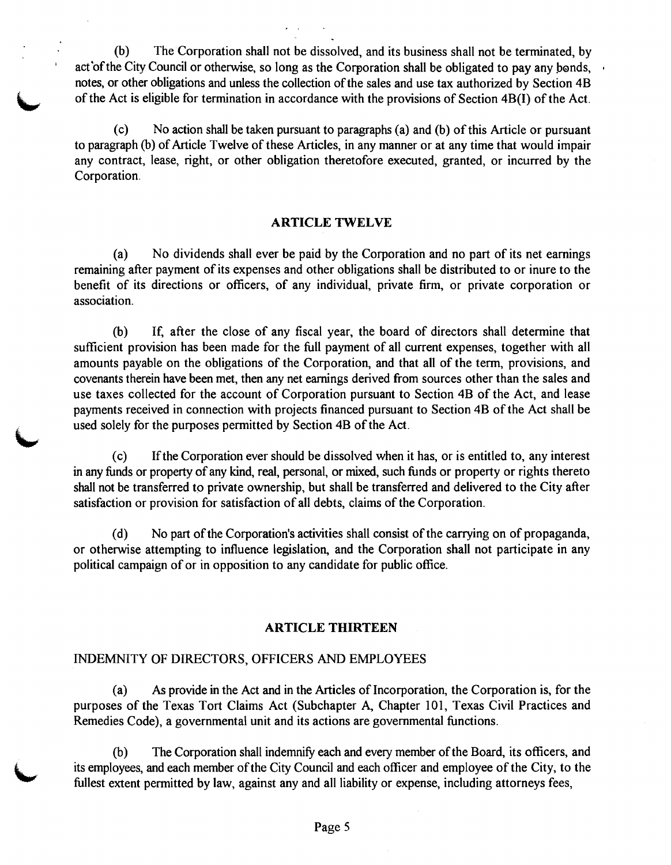(b) The Corporation shall not be dissolved, and its business shall not be terminated, by act of the City Council or otherwise, so long as the Corporation shall be obligated to pay any bonds, notes, or other obligations and unless the collection of the sales and use tax authorized by Section 4B of the Act is eligible for termination in accordance with the provisions of Section 4B(I) of the Act.

(c) No action shall be taken pursuant to paragraphs (a) and (b) of this Article or pursuant to paragraph **(b)** of Article Twelve of these Articles, in any manner or at any time that would impair any contract, lease, right, or other obligation theretofore executed, granted, or incurred by the Corporation.

#### **ARTICLE TWELVE**

(a) No dividends shall ever be paid by the Corporation and no part of its net earnings remaining after payment of its expenses and other obligations shall be distributed to or inure to the benefit of its directions or officers, of any individual, private firm, or private corporation or association.

(b) If, after the close of any fiscal year, the board of directors shall determine that sufficient provision has been made for the full payment of all current expenses, together with all amounts payable on the obligations of the Corporation, and that all of the term, provisions, and covenants therein have been met, then any net earnings derived from sources other than the sales and use taxes collected for the account of Corporation pursuant to Section 4B of the Act, and lease payments received in connection with projects financed pursuant to Section 4B of the Act shall be used solely for the purposes permitted by Section 4B of the Act.

(c) Ifthe Corporation ever should be dissolved when it has, or is entitled to, any interest in any hnds or property of any kind, real, personal, or **mixed,** such funds or property or rights thereto shall not be transferred to private ownership, but shall be transferred and delivered to the City after satisfaction or provision for satisfaction of all debts, claims of the Corporation.

(d) No part of the Corporation's activities shall consist of the carrying on of propaganda, or otherwise attempting to influence legislation, and the Corporation shall not participate in any political campaign of or in opposition to any candidate for public office.

#### **ARTICLE THIRTEEN**

#### INDEMNITY OF DIRECTORS, OFFICERS AND EMPLOYEES

**L** 

(a) **As** provide in the Act and in the Articles of Incorporation, the Corporation is, for the purposes of the Texas Tort Claims Act (Subchapter A, Chapter 101, Texas Civil Practices and Remedies Code), a governmental unit and its actions are governmental functions.

 $(b)$  The Corporation shall indemnify each and every member of the Board, its officers, and its employees, and each member of the City Council and each officer and employee of the City, to the fullest extent permitted by law, against any and all liability or expense, including attorneys fees,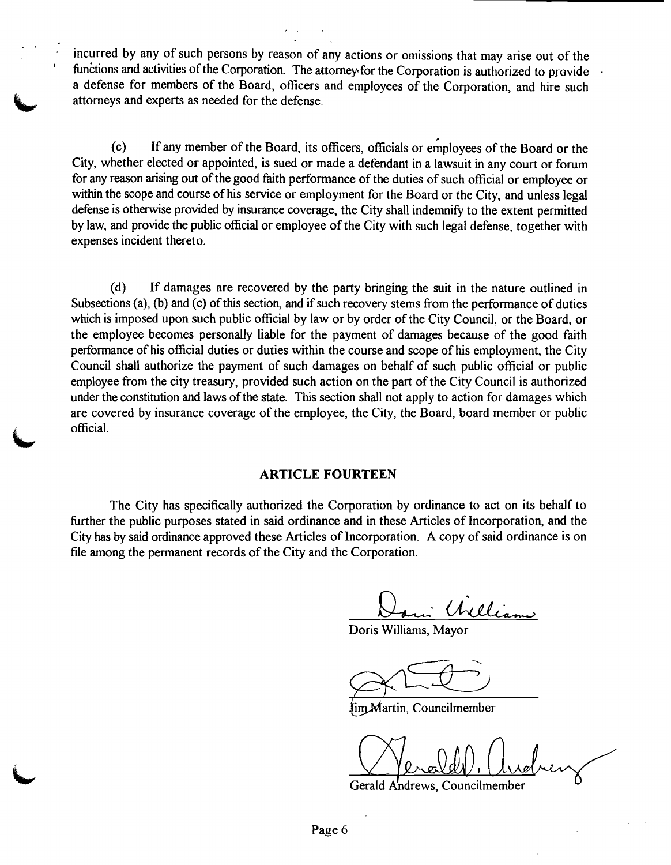incurred by any of such persons by reason of any actions or omissions that may arise out of the functions and activities of the Corporation. The attorney for the Corporation is authorized to provide a defense for members of the Board, officers and employees of the Corporation, and hire such attorneys and experts as needed for the defense.

(c) If any member of the Board, its officers, officials or employees of the Board or the City, whether elected or appointed, is sued or made a defendant in a lawsuit in any court or forum for any reason arising out of the good faith performance of the duties of such official or employee or within the scope and course of his service or employment for the Board or the City, and unless legal defense is otherwise provided by insurance coverage, the City shall indemnify to the extent permitted by law, and provide the public official or employee of the City with such legal defense, together with expenses incident thereto.

(d) If damages are recovered by the party bringing the suit in the nature outlined in Subsections (a), (b) and (c) of this section, and if such recovery stems from the performance of duties which is imposed upon such public official by law or by order of the City Council, or the Board, or the employee becomes personally liable for the payment of damages because of the good faith performance of his official duties or duties within the course and scope of his employment, the City Council shall authorize the payment of such damages on behalf of such public official or public employee from the city treasury, provided such action on the part of the City Council is authorized under the constitution and laws of the state. This section shall not apply to action for damages which are covered by insurance coverage of the employee, the City, the Board, board member or public official.

#### **ARTICLE FOURTEEN**

The City has specifically authorized the Corporation by ordinance to act on its behalf to further the public purposes stated in said ordinance and in these Articles of Incorporation, and the City has by said ordinance approved these Articles of Incorporation. A copy of said ordinance is on file among the permanent records of the City and the Corporation.

: William

Doris Williams, Mayor

Jim Martin, Councilmember

Gerald Andrews, Councilmember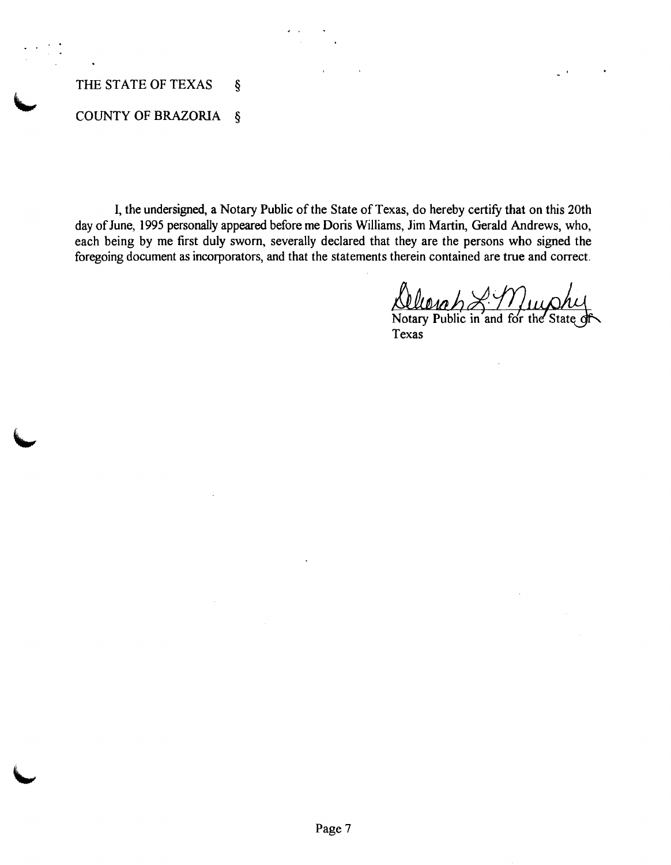## THE STATE OF TEXAS  $\S$

# **COUNTY OF BRAZORIA §**

I, the undersigned, a Notary Public of the State of Texas, do hereby certify that on this 20th day of June, 1995 personally appeared before me Doris Williams, Jim Martin, Gerald Andrews, who, each being by me first duly sworn, severally declared that they are the persons who signed the foregoing document as incorporators, and that the statements therein contained are true and correct.

Notary Public in and for the State of Texas

 $\mathbf{r}$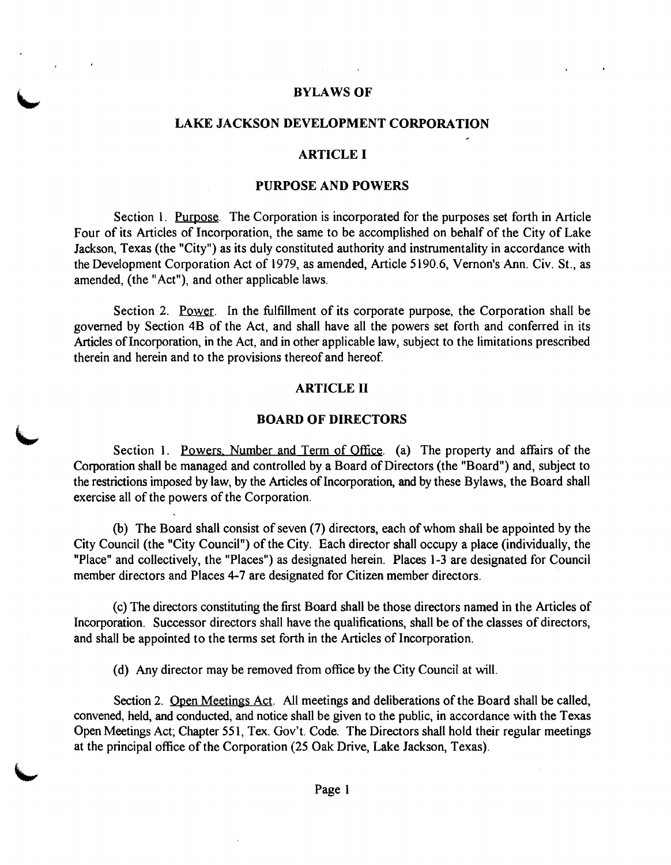#### **BYLAWS OF**

#### **LAKE JACKSON DEVELOPMENT CORPORATION**

#### **ARTICLE I**

#### **PURPOSE AND POWERS**

Section 1. Purpose. The Corporation is incorporated for the purposes set forth in Article Four of its Articles of Incorporation, the same to be accomplished on behalf of the City of Lake Jackson, Texas (the "City") as its duly constituted authority and instrumentality in accordance with the Development Corporation Act of 1979, as amended, Article 5190.6, Vernon's Ann. Civ. St., as amended, (the "Act"), and other applicable laws.

Section 2. Power. In the fulfillment of its corporate purpose, the Corporation shall be governed by Section 4B of the Act, and shall have all the powers set forth and conferred in its Articles of Incorporation, in the Act, and in other applicable law, subject to the limitations prescribed therein and herein and to the provisions thereof and hereof.

#### **ARTICLE II**

#### **BOARD OF DIRECTORS**

Section 1. Powers. Number and Term of Office. (a) The property and affairs of the Corporation shall be managed and controlled by a Board of Directors (the "Board") and, subject to the restrictions imposed by law, by the Articles of Incorporation, and by these Bylaws, the Board shall exercise all of the powers of the Corporation.

(b) The Board shall consist of seven (7) directors, each of whom shall be appointed by the City Council (the "City Council") of the City. Each director shall occupy a place (individually, the "Place" and collectively, the "Places") as designated herein. Places 1-3 are designated for Council member directors and Places 4-7 are designated for Citizen member directors.

(c) The directors constituting the first Board shall be those directors named in the Articles of Incorporation. Successor directors shall have the qualifications, shall be of the classes of directors, and shall be appointed to the terms set forth in the Articles of Incorporation.

(d) Any director may be removed from office by the City Council at will.

Section 2. Open Meetings Act. All meetings and deliberations of the Board shall be called, convened, held, and conducted, and notice shall be given to the public, in accordance with the Texas Open Meetings Act; Chapter 55 1, Tex. Gov't. Code. The Directors shall hold their regular meetings at the principal office of the Corporation (25 Oak Drive, Lake Jackson, Texas).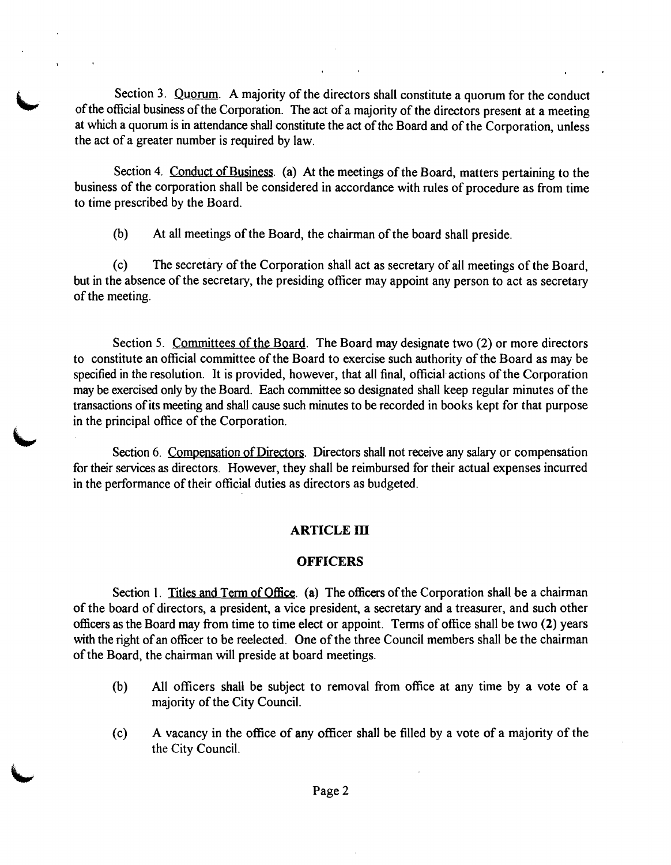Section 3. Quorum. A majority of the directors shall constitute a quorum for the conduct of the official business of the Corporation. The act of a majority of the directors present at a meeting at which a quorum is in attendance shall constitute the act of the Board and of the Corporation, unless the act of a greater number is required by law.

Section 4. Conduct of Business. (a) At the meetings of the Board, matters pertaining to the business of the corporation shall be considered in accordance with rules of procedure as from time to time prescribed by the Board.

(b) At all meetings of the Board, the chairman of the board shall preside.

(c) The secretary of the Corporation shall act as secretary of all meetings of the Board, but in the absence of the secretary, the presiding officer may appoint any person to act as secretary of the meeting.

Section 5. Committees of the Board. The Board may designate two (2) or more directors to constitute an official committee of the Board to exercise such authority of the Board as may be specified in the resolution. It is provided, however, that all final, official actions of the Corporation may be exercised only by the Board. Each committee so designated shall keep regular minutes of the transactions of its meeting and shall cause such minutes to be recorded in books kept for that purpose in the principal office of the Corporation.

Section 6. Compensation of Directors. Directors shall not receive any salary or compensation for their services as directors. However, they shall be reimbursed for their actual expenses incurred in the performance of their official duties as directors as budgeted.

## **ARTICLE 111**

### **OFFICERS**

Section 1. Titles and Term of Office. (a) The officers of the Corporation shall be a chairman of the board of directors, a president, a vice president, a secretary and a treasurer, and such other officers as the Board may fiom time to time elect or appoint. Terms of office shall be two (2) years with the right of an officer to be reelected. One of the three Council members shall be the chairman of the Board, the chairman will preside at board meetings.

- (b) All officers shall be subject to removal fiom office at any time by a vote of a majority of the City Council.
- (c) A vacancy in the office of any officer shall be filled by a vote of a majority of the the City Council.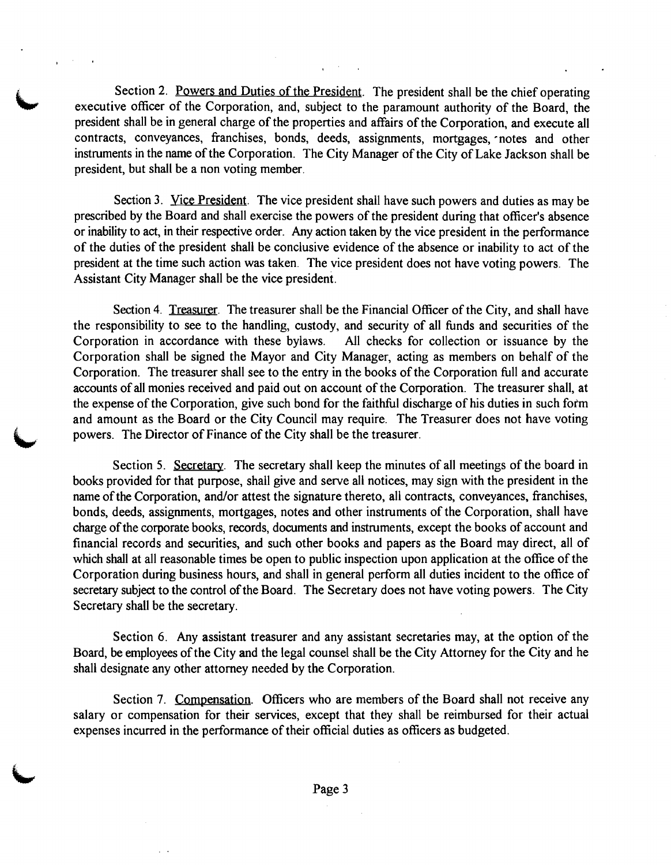Section 2. Powers and Duties of the President. The president shall be the chief operating executive officer of the Corporation, and, subject to the paramount authority of the Board, the president shall be in general charge of the properties and affairs of the Corporation, and execute all contracts, conveyances, franchises, bonds, deeds, assignments, mortgages, -notes and other instruments in the name of the Corporation. The City Manager of the City of Lake Jackson shall be president, but shall be a non voting member.

Section 3. Vice President. The vice president shall have such powers and duties as may be prescribed by the Board and shall exercise the powers of the president during that officer's absence or inability to act, in their respective order. Any action taken by the vice president in the performance of the duties of the president shall be conclusive evidence of the absence or inability to act of the president at the time such action was taken. The vice president does not have voting powers. The Assistant City Manager shall be the vice president.

Section 4. Treasurer. The treasurer shall be the Financial Officer of the City, and shall have the responsibility to see to the handling, custody, and security of all funds and securities of the Corporation in accordance with these bylaws. All checks for collection or issuance by the Corporation shall be signed the Mayor and City Manager, acting as members on behalf of the Corporation. The treasurer shall see to the entry in the books of the Corporation full and accurate accounts of all monies received and paid out on account of the Corporation. The treasurer shall, at the expense of the Corporation, give such bond for the faithful discharge of his duties in such foim and amount as the Board or the City Council may require. The Treasurer does not have voting powers. The Director of Finance of the City shall be the treasurer.

Section 5. Secretary. The secretary shall keep the minutes of all meetings of the board in books provided for that purpose, shall give and serve all notices, may sign with the president in the name of the Corporation, and/or attest the signature thereto, all contracts, conveyances, franchises, bonds, deeds, assignments, mortgages, notes and other instruments of the Corporation, shall have charge of the corporate books, records, documents and instruments, except the books of account and financial records and securities, and such other books and papers as the Board may direct, all of which shall at all reasonable times be open to public inspection upon application at the office of the Corporation during business hours, and shall in general perform all duties incident to the office of secretary subject to the control of the Board. The Secretary does not have voting powers. The City Secretary shall be the secretary.

Section 6. Any assistant treasurer and any assistant secretaries may, at the option of the Board, be employees of the City and the legal counsel shall be the City Attorney for the City and he shall designate any other attorney needed by the Corporation.

Section 7. Compensation. Officers who are members of the Board shall not receive any salary or compensation for their services, except that they shall be reimbursed for their actual expenses incurred in the performance of their official duties as officers as budgeted.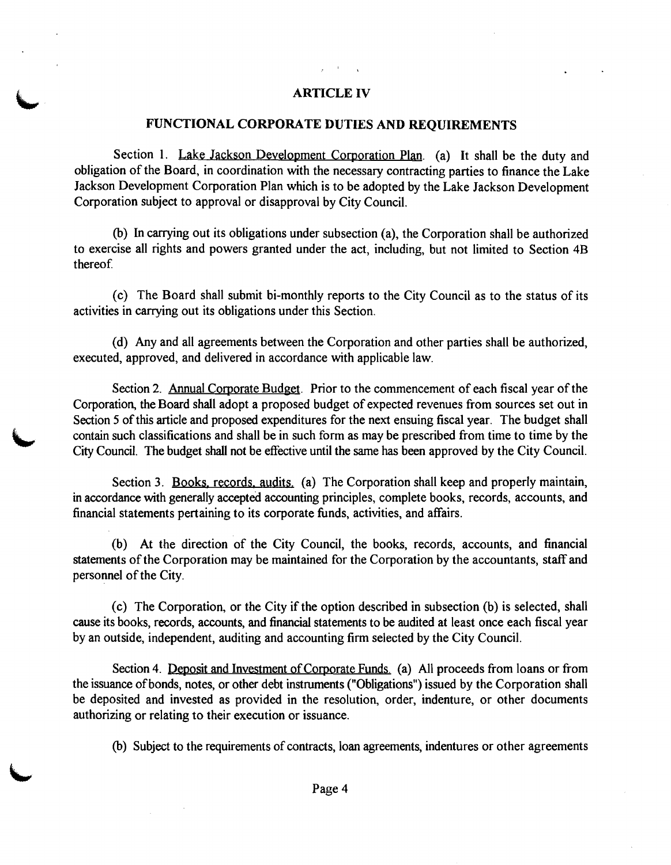## **ARTICLE IV**

#### **FUNCTIONAL CORPORATE DUTIES AND REQUIREMENTS**

Section 1. Lake Jackson Development Corporation Plan. (a) It shall be the duty and obligation of the Board, in coordination with the necessary contracting parties to finance the Lake Jackson Development Corporation Plan which is to be adopted by the Lake Jackson Development Corporation subject to approval or disapproval by City Council.

(b) In carrying out its obligations under subsection (a), the Corporation shall be authorized to exercise all rights and powers granted under the act, including, but not limited to Section 4B thereof

(c) The Board shall submit bi-monthly reports to the City Council as to the status of its activities in carrying out its obligations under this Section.

(d) Any and all agreements between the Corporation and other parties shall be authorized, executed, approved, and delivered in accordance with applicable law.

Section 2. Annual Corporate Budget. Prior to the commencement of each fiscal year of the Corporation, the Board shall adopt a proposed budget of expected revenues fiom sources set out in Section 5 of this article and proposed expenditures for the next ensuing fiscal year. The budget shall Section 5 of this article and proposed expenditures for the next ensuing fiscal year. The budget shall contain such classifications and shall be in such form as may be prescribed from time to time by the City Council. The

> Section 3. Books, records, audits. (a) The Corporation shall keep and properly maintain, in accordance with generally accepted accounting principles, complete books, records, accounts, and financial statements pertaining to its corporate hnds, activities, and affairs.

> (b) At the direction of the City Council, the books, records, accounts, and financial statements of the Corporation may be maintained for the Corporation by the accountants, staff and personnel of the City.

> (c) The Corporation, or the City if the option described in subsection (b) is selected, shall cause its books, records, accounts, and financial statements to be audited at least once each fiscal year by an outside, independent, auditing and accounting firm selected by the City Council.

> Section 4. Deposit and Investment of Corporate Funds. (a) All proceeds from loans or from the issuance ofbonds, notes, or other debt instruments ("Obligations") issued by the Corporation shall be deposited and invested as provided in the resolution, order, indenture, or other documents authorizing or relating to their execution or issuance.

(b) Subject to the requirements of contracts, loan agreements, indentures or other agreements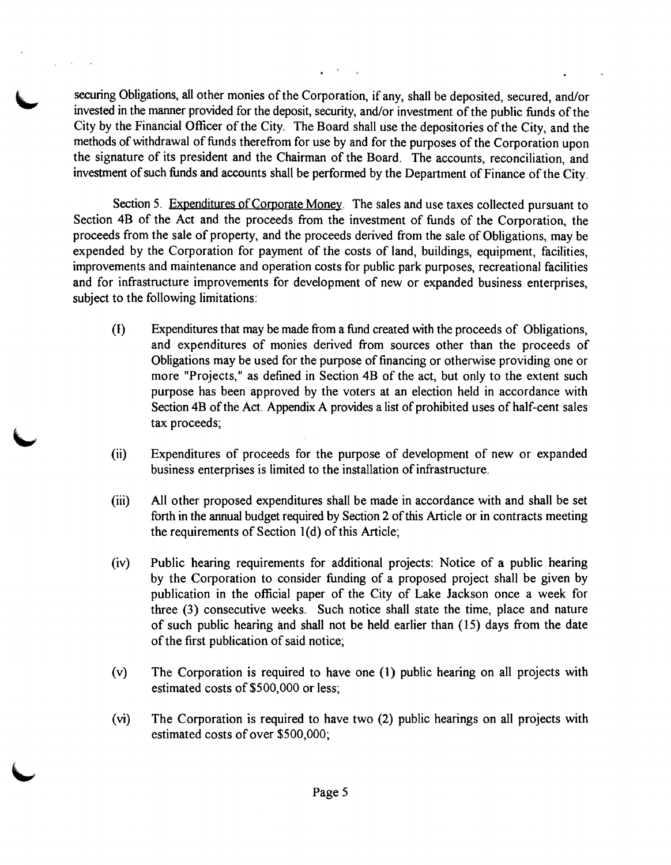securing Obligations, all other monies of the Corporation, if any, shall be deposited, secured, and/or invested in the manner provided for the deposit, security, and/or investment of the public funds of the City by the Financial Officer of the City. The Board shall use the depositories of the City, and the methods of withdrawal of funds therefiom for use by and for the purposes of the Corporation upon the signature of its president and the Chairman of the Board. The accounts, reconciliation, and investment of such hnds and accounts shall be performed by the Department of Finance of the City.

Section 5. Expenditures of Corporate Money. The sales and use taxes collected pursuant to Section 4B of the Act and the proceeds from the investment of funds of the Corporation, the proceeds from the sale of property, and the proceeds derived from the sale of Obligations, may be expended by the Corporation for payment of the costs of land, buildings, equipment, facilities, improvements and maintenance and operation costs for public park purposes, recreational facilities and for infrastructure improvements for development of new or expanded business enterprises, subject to the following limitations:

- **(I)** Expenditures that may be made fiom a fund created with the proceeds of Obligations, and expenditures of monies derived fiom sources other than the proceeds of Obligations may be used for the purpose of financing or otherwise providing one or more "Projects," as defined in Section 4B of the act, but only to the extent such purpose has been approved by the voters at an election held in accordance with Section 4B of the Act. Appendix A provides a list of prohibited uses of half-cent sales tax proceeds;
- (ii) Expenditures of proceeds for the purpose of development of new or expanded business enterprises is limited to the installation of infrastructure.
- (iii) All other proposed expenditures shall be made in accordance with and shall be set forth in the annual budget required by Section 2 of this Article or in contracts meeting the requirements of Section l(d) of this Article;
- (iv) Public hearing requirements for additional projects: Notice of a public hearing by the Corporation to consider funding of a proposed project shall be given by publication in the official paper of the City of Lake Jackson once a week for three **(3)** consecutive weeks. Such notice shall state the time, place and nature of such public hearing and shall not be held earlier than (15) days fiom the date of the first publication of said notice;
- (v) The Corporation is required to have one (1) public hearing on all projects with estimated costs of \$500,000 or less;
- (vi) The Corporation is required to have two (2) public hearings on all projects with estimated costs of over \$500,000;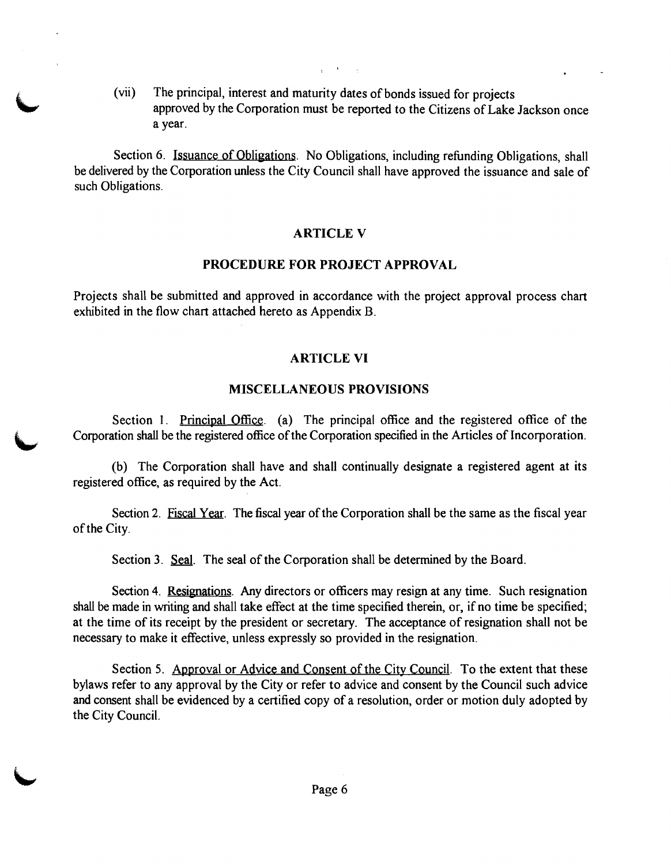(vii) The principal, interest and maturity dates of bonds issued for projects approved by the Corporation must be reported to the Citizens of Lake Jackson once a year.

Section 6. Issuance of Obligations. No Obligations, including refunding Obligations, shall be delivered by the Corporation unless the City Council shall have approved the issuance and sale of such Obligations.

#### **ARTICLE V**

#### **PROCEDURE FOR PROJECT APPROVAL**

Projects shall be submitted and approved in accordance with the project approval process chart exhibited in the flow chart attached hereto as Appendix B.

#### **ARTICLE VI**

#### **MISCELLANEOUS PROVISIONS**

Section 1. Principal Office. (a) The principal office and the registered office of the **L** Corporation shall be the registered office of the Corporation specified in the Articles of Incorporation.

(b) The Corporation shall have and shall continually designate a registered agent at its registered office, as required by the Act.

Section 2. Fiscal Year. The fiscal year of the Corporation shall be the same as the fiscal year of the City.

Section 3. Seal. The seal of the Corporation shall be determined by the Board.

Section 4. Resignations. Any directors or officers may resign at any time. Such resignation shall be made in writing and shall take effect at the time specified therein, or, if no time be specified; at the time of its receipt by the president or secretary. The acceptance of resignation shall not be necessary to make it effective, unless expressly so provided in the resignation.

Section 5. Approval or Advice and Consent of the City Council. To the extent that these bylaws refer to any approval by the City or refer to advice and consent by the Council such advice and consent shall be evidenced by a certified copy of a resolution, order or motion duly adopted by the City Council.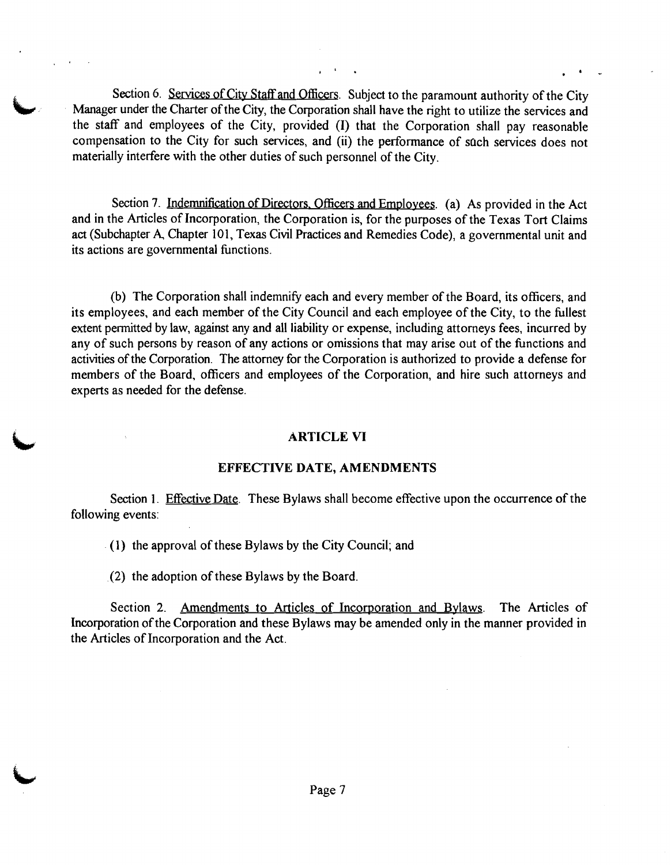Section 6. Services of City Staff and Officers. Subject to the paramount authority of the City Manager under the Charter of the City, the Corporation shall have the right to utilize the services and the staff and employees of the City, provided (I) that the Corporation shall pay reasonable compensation to the City for such services, and (ii) the performance of sach services does not materially interfere with the other duties of such personnel of the City.

Section 7. Indemnification of Directors, Officers and Employees. (a) As provided in the Act and in the Articles of Incorporation, the Corporation is, for the purposes of the Texas Tort Claims act (Subchapter A, Chapter 101, Texas Civil Practices and Remedies Code), a governmental unit and its actions are governmental functions.

(b) The Corporation shall indemnify each and every member of the Board, its officers, and its employees, and each member of the City Council and each employee of the City, to the fullest extent permitted by law, against any and all liability or expense, including attorneys fees, incurred by any of such persons by reason of any actions or omissions that may arise out of the functions and activities of the Corporation. The attorney for the Corporation is authorized to provide a defense for members of the Board, officers and employees of the Corporation, and hire such attorneys and experts as needed for the defense. r under the Care of the City, the Corporation shall have the right to utilize the services and<br>
rand employees of the City, provided (i) that the Corporation shall pay reasonable<br>
isotron to the City for anch services, and

#### **ARTICLE VI**

#### **EFFECTIVE DATE, AMENDMENTS**

Section 1. Effective Date. These Bylaws shall become effective upon the occurrence of the following events:

(1) the approval of these Bylaws by the City Council; and

(2) the adoption of these Bylaws by the Board.

Incorporation of the Corporation and these Bylaws may be amended only in the manner provided in the Articles of Incorporation and the Act.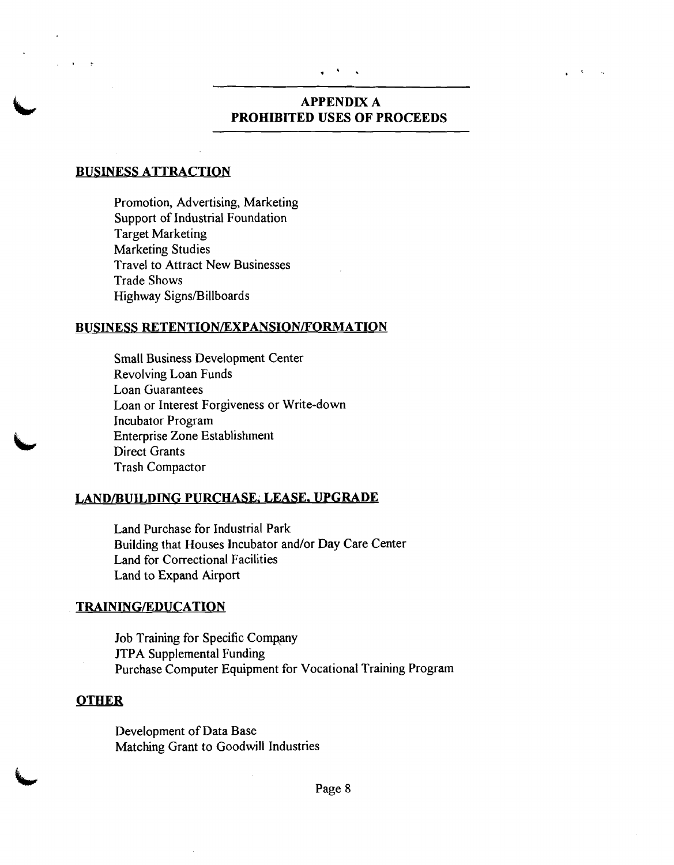# **APPENDIX A PROHIBITED USES OF PROCEEDS**

### **BUSINESS ATTRACTION**

Promotion, Advertising, Marketing Support of Industrial Foundation Target Marketing Marketing Studies Travel to Attract New Businesses Trade Shows Highway Signs/Billboards

#### **BUSINESS RETENTION/EXPANSION/FORMATION**

Small Business Development Center Revolving Loan Funds Loan Guarantees Loan or Interest Forgiveness or Write-down Incubator Program Enterprise Zone Establishment Direct Grants Trash Compactor

#### **LANDIBUILDIIYG PURCHASE; LEASE. UPGRADE**

Land Purchase for Industrial Park Building that Houses Incubator and/or Day Care Center Land for Correctional Facilities Land to Expand Airport

#### **TRAINING/EDUCATION**

Job Training for Specific Company JTPA Supplemental Funding Purchase Computer Equipment for Vocational Training Program

#### **OTHER**

Development of Data Base Matching Grant to Goodwill Industries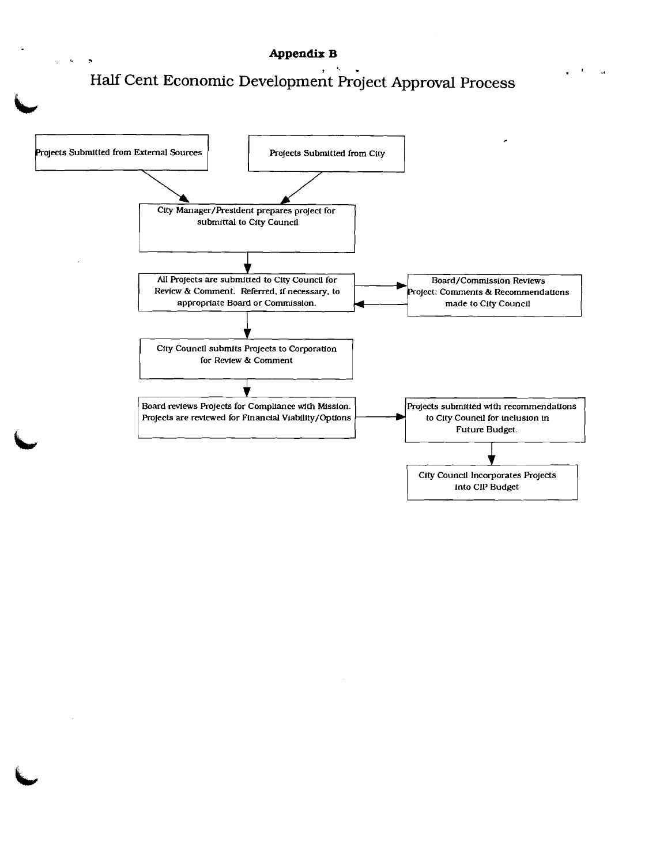#### .'. **3 Appendix B**

# Half Cent Economic Development Project Approval Process